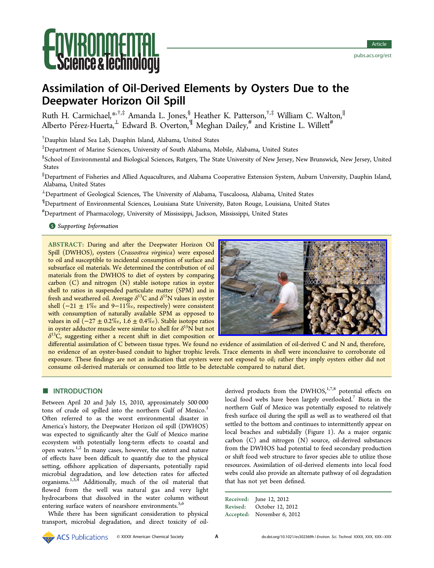# **Ce & lechnologi**

# Assimilation of Oil-Derived Elements by Oysters Due to the Deepwater Horizon Oil Spill

Ruth H. Carmichael,[\\*](#page-6-0)<sup>,†,‡</sup> Amanda L. Jones,<sup>§</sup> Heather K. Patterson,<sup>†,‡</sup> William C. Walton,<sup>∥</sup> Alberto Pérez-Huerta, $^\perp$  Edward B. Overton, $^\P$  Meghan Dailey, $^{\#}$  and Kristine L. Willett $^{\#}$ 

† Dauphin Island Sea Lab, Dauphin Island, Alabama, United States

‡ Department of Marine Sciences, University of South Alabama, Mobile, Alabama, United States

 $\rm ^\$$ School of Environmental and Biological Sciences, Rutgers, The State University of New Jersey, New Brunswick, New Jersey, United States

∥ Department of Fisheries and Allied Aquacultures, and Alabama Cooperative Extension System, Auburn University, Dauphin Island, Alabama, United States

 $^{\perp}$ Department of Geological Sciences, The University of Alabama, Tuscaloosa, Alabama, United States

¶ Department of Environmental Sciences, Louisiana State University, Baton Rouge, Louisiana, United States

# Department of Pharmacology, University of Mississippi, Jackson, Mississippi, United States

# **S** [Supporting Information](#page-6-0)

ABSTRACT: During and after the Deepwater Horizon Oil Spill (DWHOS), oysters (Crassostrea virginica) were exposed to oil and susceptible to incidental consumption of surface and subsurface oil materials. We determined the contribution of oil materials from the DWHOS to diet of oysters by comparing carbon (C) and nitrogen (N) stable isotope ratios in oyster shell to ratios in suspended particulate matter (SPM) and in fresh and weathered oil. Average  $\delta^{13}$ C and  $\delta^{15}$ N values in oyster shell ( $-21 \pm 1\%$  and 9 $-11\%$ <sub>0</sub>, respectively) were consistent with consumption of naturally available SPM as opposed to values in oil  $(-27 \pm 0.2\%$ <sub>0</sub>, 1.6 ± 0.4‰). Stable isotope ratios in oyster adductor muscle were similar to shell for  $\delta^{15}N$  but not  $\delta^{13}$ C, suggesting either a recent shift in diet composition or



differential assimilation of C between tissue types. We found no evidence of assimilation of oil-derived C and N and, therefore, no evidence of an oyster-based conduit to higher trophic levels. Trace elements in shell were inconclusive to corroborate oil exposure. These findings are not an indication that oysters were not exposed to oil; rather they imply oysters either did not consume oil-derived materials or consumed too little to be detectable compared to natural diet.

# **■ INTRODUCTION**

Between April 20 and July 15, 2010, approximately 500 000 tons of crude oil spilled into the northern Gulf of Mexico.<sup>[1](#page-6-0)</sup> Often referred to as the worst environmental disaster in America's history, the Deepwater Horizon oil spill (DWHOS) was expected to significantly alter the Gulf of Mexico marine ecosystem with potentially long-term effects to coastal and open waters.<sup>[1](#page-6-0),[2](#page-6-0)</sup> In many cases, however, the extent and nature of effects have been difficult to quantify due to the physical setting, offshore application of dispersants, potentially rapid microbial degradation, and low detection rates for affected organisms.[1](#page-6-0),[3](#page-7-0),[4](#page-7-0) Additionally, much of the oil material that flowed from the well was natural gas and very light hydrocarbons that dissolved in the water column without entering surface waters of nearshore environments.<sup>[5](#page-7-0),[6](#page-7-0)</sup>

While there has been significant consideration to physical transport, microbial degradation, and direct toxicity of oil-

derived products from the DWHOS, $1,7,8}$  $1,7,8}$  $1,7,8}$  $1,7,8}$  $1,7,8}$  $1,7,8}$  potential effects on local food webs have been largely overlooked.<sup>[7](#page-7-0)</sup> Biota in the northern Gulf of Mexico was potentially exposed to relatively fresh surface oil during the spill as well as to weathered oil that settled to the bottom and continues to intermittently appear on local beaches and subtidally (Figure [1\)](#page-1-0). As a major organic carbon (C) and nitrogen (N) source, oil-derived substances from the DWHOS had potential to feed secondary production or shift food web structure to favor species able to utilize those resources. Assimilation of oil-derived elements into local food webs could also provide an alternate pathway of oil degradation that has not yet been defined.

| Received: June 12, 2012    |
|----------------------------|
| Revised: October 12, 2012  |
| Accepted: November 6, 2012 |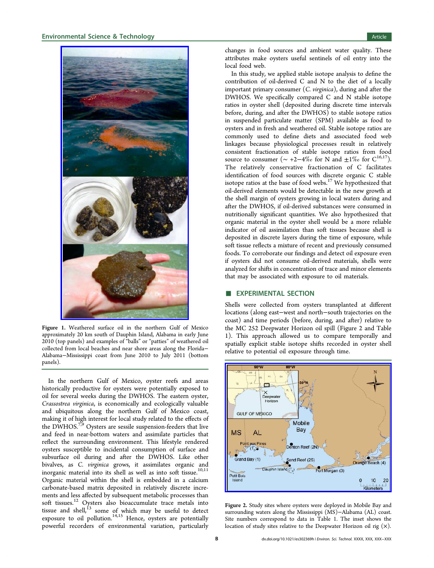<span id="page-1-0"></span>

Figure 1. Weathered surface oil in the northern Gulf of Mexico approximately 20 km south of Dauphin Island, Alabama in early June 2010 (top panels) and examples of "balls" or "patties" of weathered oil collected from local beaches and near shore areas along the Florida− Alabama−Mississippi coast from June 2010 to July 2011 (bottom panels).

In the northern Gulf of Mexico, oyster reefs and areas historically productive for oysters were potentially exposed to oil for several weeks during the DWHOS. The eastern oyster, Crassostrea virginica, is economically and ecologically valuable and ubiquitous along the northern Gulf of Mexico coast, making it of high interest for local study related to the effects of the DWHOS.<sup>[7](#page-7-0),[9](#page-7-0)</sup> Oysters are sessile suspension-feeders that live and feed in near-bottom waters and assimilate particles that reflect the surrounding environment. This lifestyle rendered oysters susceptible to incidental consumption of surface and subsurface oil during and after the DWHOS. Like other bivalves, as C. virginica grows, it assimilates organic and inorganic material into its shell as well as into soft tissue.<sup>[10,11](#page-7-0)</sup> Organic material within the shell is embedded in a calcium carbonate-based matrix deposited in relatively discrete increments and less affected by subsequent metabolic processes than soft tissues.<sup>[12](#page-7-0)</sup> Oysters also bioaccumulate trace metals into tissue and shell, $^{13}$  $^{13}$  $^{13}$  some of which may be useful to detect exposure to oil pollution. $14,15$  Hence, oysters are potentially powerful recorders of environmental variation, particularly

changes in food sources and ambient water quality. These attributes make oysters useful sentinels of oil entry into the local food web.

In this study, we applied stable isotope analysis to define the contribution of oil-derived C and N to the diet of a locally important primary consumer (C. virginica), during and after the DWHOS. We specifically compared C and N stable isotope ratios in oyster shell (deposited during discrete time intervals before, during, and after the DWHOS) to stable isotope ratios in suspended particulate matter (SPM) available as food to oysters and in fresh and weathered oil. Stable isotope ratios are commonly used to define diets and associated food web linkages because physiological processes result in relatively consistent fractionation of stable isotope ratios from food source to consumer ( $\sim +2-4\%$  for N and  $\pm 1\%$  for C<sup>[16](#page-7-0),17</sup>). The relatively conservative fractionation of C facilitates identification of food sources with discrete organic C stable isotope ratios at the base of food webs. $17$  We hypothesized that oil-derived elements would be detectable in the new growth at the shell margin of oysters growing in local waters during and after the DWHOS, if oil-derived substances were consumed in nutritionally significant quantities. We also hypothesized that organic material in the oyster shell would be a more reliable indicator of oil assimilation than soft tissues because shell is deposited in discrete layers during the time of exposure, while soft tissue reflects a mixture of recent and previously consumed foods. To corroborate our findings and detect oil exposure even if oysters did not consume oil-derived materials, shells were analyzed for shifts in concentration of trace and minor elements that may be associated with exposure to oil materials.

### **EXPERIMENTAL SECTION**

Shells were collected from oysters transplanted at different locations (along east−west and north−south trajectories on the coast) and time periods (before, during, and after) relative to the MC 252 Deepwater Horizon oil spill (Figure 2 and Table [1](#page-2-0)). This approach allowed us to compare temporally and spatially explicit stable isotope shifts recorded in oyster shell relative to potential oil exposure through time.



Figure 2. Study sites where oysters were deployed in Mobile Bay and surrounding waters along the Mississippi (MS)−Alabama (AL) coast. Site numbers correspond to data in Table [1](#page-2-0). The inset shows the location of study sites relative to the Deepwater Horizon oil rig  $(x)$ .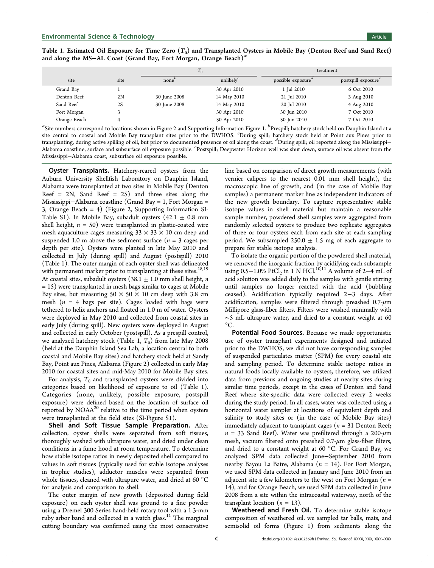<span id="page-2-0"></span>Table 1. Estimated Oil Exposure for Time Zero  $(T_0)$  and Transplanted Oysters in Mobile Bay (Denton Reef and Sand Reef) and along the MS−AL Coast (Grand Bay, Fort Morgan, Orange Beach)<sup>a</sup>

|              |      | $T_0$             |               | treatment          |                                 |
|--------------|------|-------------------|---------------|--------------------|---------------------------------|
| site         | site | none <sup>'</sup> | unlikely $^c$ | possible exposure" | postspill exposure <sup>e</sup> |
| Grand Bay    |      |                   | 30 Apr 2010   | 1 Jul 2010         | 6 Oct 2010                      |
| Denton Reef  | 2N   | 30 June 2008      | 14 May 2010   | 21 Jul 2010        | 3 Aug 2010                      |
| Sand Reef    | 2S   | 30 June 2008      | 14 May 2010   | 20 Jul 2010        | 4 Aug 2010                      |
| Fort Morgan  |      |                   | 30 Apr 2010   | 30 Jun 2010        | 7 Oct 2010                      |
| Orange Beach |      |                   | 30 Apr 2010   | 30 Jun 2010        | 7 Oct 2010                      |

 ${}^a\!{\rm Site}$  numbers correspond to locations shown in Figure [2](#page-1-0) and [Supporting Information](#page-6-0) Figure 1.  ${}^b\!{\rm Prespill}$ ; hatchery stock held on Dauphin Island at a site central to coastal and Mobile Bay transplant sites prior to the DWHOS. <sup>c</sup> During spill; hatchery stock held at Point aux Pines prior to transplanting, during active spilling of oil, but prior to documented presence of oil along the coast. <sup>d</sup>During spill; oil reported along the Mississippi– Alabama coastline, surface and subsurface oil exposure possible. <sup>e</sup>Postspill; Deepwater Horizon well was shut down, surface oil was absent from the Mississippi−Alabama coast, subsurface oil exposure possible.

**Oyster Transplants.** Hatchery-reared oysters from the Auburn University Shellfish Laboratory on Dauphin Island, Alabama were transplanted at two sites in Mobile Bay (Denton Reef =  $2N$ , Sand Reef =  $2S$ ) and three sites along the Mississippi−Alabama coastline (Grand Bay = 1, Fort Morgan = 3, Orange Beach = 4) (Figure [2](#page-1-0), [Supporting Information SI-](#page-6-0)[Table S1\)](#page-6-0). In Mobile Bay, subadult oysters  $(42.1 \pm 0.8 \text{ mm})$ shell height,  $n = 50$ ) were transplanted in plastic-coated wire mesh aquaculture cages measuring  $33 \times 33 \times 10$  cm deep and suspended 1.0 m above the sediment surface ( $n = 3$  cages per depth per site). Oysters were planted in late May 2010 and collected in July (during spill) and August (postspill) 2010 (Table 1). The outer margin of each oyster shell was delineated with permanent marker prior to transplanting at these sites.<sup>[18,19](#page-7-0)</sup> At coastal sites, subadult oysters  $(38.1 \pm 1.0 \text{ mm}$  shell height, *n* = 15) were transplanted in mesh bags similar to cages at Mobile Bay sites, but measuring  $50 \times 50 \times 10$  cm deep with 3.8 cm mesh ( $n = 4$  bags per site). Cages loaded with bags were tethered to helix anchors and floated in 1.0 m of water. Oysters were deployed in May 2010 and collected from coastal sites in early July (during spill). New oysters were deployed in August and collected in early October (postspill). As a prespill control, we analyzed hatchery stock (Table 1,  $T_0$ ) from late May 2008 (held at the Dauphin Island Sea Lab, a location central to both coastal and Mobile Bay sites) and hatchery stock held at Sandy Bay, Point aux Pines, Alabama (Figure [2\)](#page-1-0) collected in early May 2010 for coastal sites and mid-May 2010 for Mobile Bay sites.

For analysis,  $T_0$  and transplanted oysters were divided into categories based on likelihood of exposure to oil (Table 1). Categories (none, unlikely, possible exposure, postspill exposure) were defined based on the location of surface oil reported by  $NOAA^{20}$  relative to the time period when oysters were transplanted at the field sites [\(SI-Figure S1\)](#page-6-0).

Shell and Soft Tissue Sample Preparation. After collection, oyster shells were separated from soft tissues, thoroughly washed with ultrapure water, and dried under clean conditions in a fume hood at room temperature. To determine how stable isotope ratios in newly deposited shell compared to values in soft tissues (typically used for stable isotope analyses in trophic studies), adductor muscles were separated from whole tissues, cleaned with ultrapure water, and dried at 60 °C for analysis and comparison to shell.

The outer margin of new growth (deposited during field exposure) on each oyster shell was ground to a fine powder using a Dremel 300 Series hand-held rotary tool with a 1.3-mm ruby arbor band and collected in a watch glass.<sup>[11](#page-7-0)</sup> The marginal cutting boundary was confirmed using the most conservative line based on comparison of direct growth measurements (with vernier calipers to the nearest 0.01 mm shell height), the macroscopic line of growth, and (in the case of Mobile Bay samples) a permanent marker line as independent indicators of the new growth boundary. To capture representative stable isotope values in shell material but maintain a reasonable sample number, powdered shell samples were aggregated from randomly selected oysters to produce two replicate aggregates of three or four oysters each from each site at each sampling period. We subsampled  $250.0 \pm 1.5$  mg of each aggregate to prepare for stable isotope analysis.

To isolate the organic portion of the powdered shell material, we removed the inorganic fraction by acidifying each subsample using 0.5−1.0% PtCl<sub>2</sub> in 1 N HCl.<sup>[10,11](#page-7-0)</sup> A volume of 2−4 mL of acid solution was added daily to the samples with gentle stirring until samples no longer reacted with the acid (bubbling ceased). Acidification typically required 2−3 days. After acidification, samples were filtered through preashed  $0.7 - \mu m$ Millipore glass-fiber filters. Filters were washed minimally with ∼5 mL ultrapure water, and dried to a constant weight at 60  $\rm{^{\circ}C}.$ 

Potential Food Sources. Because we made opportunistic use of oyster transplant experiments designed and initiated prior to the DWHOS, we did not have corresponding samples of suspended particulates matter (SPM) for every coastal site and sampling period. To determine stable isotope ratios in natural foods locally available to oysters, therefore, we utilized data from previous and ongoing studies at nearby sites during similar time periods, except in the cases of Denton and Sand Reef where site-specific data were collected every 2 weeks during the study period. In all cases, water was collected using a horizontal water sampler at locations of equivalent depth and salinity to study sites or (in the case of Mobile Bay sites) immediately adjacent to transplant cages ( $n = 31$  Denton Reef;  $n = 33$  Sand Reef). Water was prefiltered through a 200- $\mu$ m mesh, vacuum filtered onto preashed 0.7-μm glass-fiber filters, and dried to a constant weight at 60 °C. For Grand Bay, we analyzed SPM data collected June−September 2010 from nearby Bayou La Batre, Alabama ( $n = 14$ ). For Fort Morgan, we used SPM data collected in January and June 2010 from an adjacent site a few kilometers to the west on Fort Morgan ( $n =$ 14), and for Orange Beach, we used SPM data collected in June 2008 from a site within the intracoastal waterway, north of the transplant location  $(n = 13)$ .

Weathered and Fresh Oil. To determine stable isotope composition of weathered oil, we sampled tar balls, mats, and semisolid oil forms (Figure [1\)](#page-1-0) from sediments along the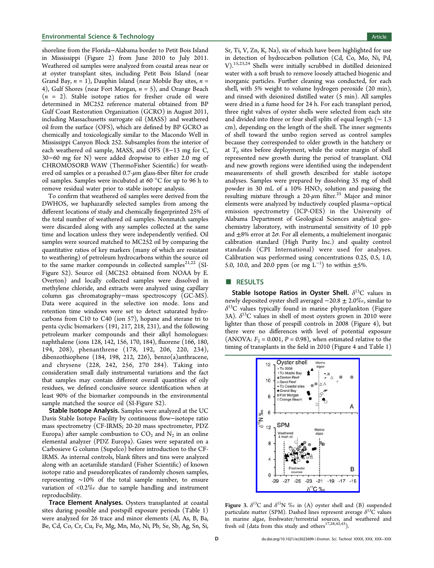<span id="page-3-0"></span>shoreline from the Florida−Alabama border to Petit Bois Island in Mississippi (Figure [2\)](#page-1-0) from June 2010 to July 2011. Weathered oil samples were analyzed from coastal areas near or at oyster transplant sites, including Petit Bois Island (near Grand Bay,  $n = 1$ ), Dauphin Island (near Mobile Bay sites,  $n =$ 4), Gulf Shores (near Fort Morgan,  $n = 5$ ), and Orange Beach  $(n = 2)$ . Stable isotope ratios for fresher crude oil were determined in MC252 reference material obtained from BP Gulf Coast Restoration Organization (GCRO) in August 2011, including Massachusetts surrogate oil (MASS) and weathered oil from the surface (OFS), which are defined by BP GCRO as chemically and toxicologically similar to the Macondo Well in Mississippi Canyon Block 252. Subsamples from the interior of each weathered oil sample, MASS, and OFS (8−13 mg for C, 30−60 mg for N) were added dropwise to either 2.0 mg of CHROMOSORB WAW (ThermoFisher Scientific) for weathered oil samples or a preashed  $0.7$ - $\mu$ m glass-fiber filter for crude oil samples. Samples were incubated at 60 °C for up to 96 h to remove residual water prior to stable isotope analysis.

To confirm that weathered oil samples were derived from the DWHOS, we haphazardly selected samples from among the different locations of study and chemically fingerprinted 25% of the total number of weathered oil samples. Nonmatch samples were discarded along with any samples collected at the same time and location unless they were independently verified. Oil samples were sourced matched to MC252 oil by comparing the quantitative ratios of key markers (many of which are resistant to weathering) of petroleum hydrocarbons within the source oil to the same marker compounds in collected samples<sup>[21,22](#page-7-0)</sup> ([SI-](#page-6-0)[Figure S2](#page-6-0)). Source oil (MC252 obtained from NOAA by E. Overton) and locally collected samples were dissolved in methylene chloride, and extracts were analyzed using capillary column gas chromatography−mass spectroscopy (GC-MS). Data were acquired in the selective ion mode. Ions and retention time windows were set to detect saturated hydrocarbons from C10 to C40 (ion 57), hopane and sterane tri to penta cyclic biomarkers (191, 217, 218, 231), and the following petroleum marker compounds and their alkyl homologues: naphthalene (ions 128, 142, 156, 170, 184), fluorene (166, 180, 194, 208), phenanthrene (178, 192, 206, 220, 234), dibenzothiophene (184, 198, 212, 226), benzo(a)anthracene, and chrysene (228, 242, 256, 270 284). Taking into consideration small daily instrumental variations and the fact that samples may contain different overall quantities of oily residues, we defined conclusive source identification when at least 90% of the biomarker compounds in the environmental sample matched the source oil ([SI-Figure S2](#page-6-0)).

Stable Isotope Analysis. Samples were analyzed at the UC Davis Stable Isotope Facility by continuous flow−isotope ratio mass spectrometry (CF-IRMS; 20-20 mass spectrometer, PDZ Europa) after sample combustion to  $CO<sub>2</sub>$  and  $N<sub>2</sub>$  in an online elemental analyzer (PDZ Europa). Gases were separated on a Carbosieve G column (Supelco) before introduction to the CF-IRMS. As internal controls, blank filters and tins were analyzed along with an acetanilide standard (Fisher Scientific) of known isotope ratio and pseudoreplicates of randomly chosen samples, representing ∼10% of the total sample number, to ensure variation of <0.2‰ due to sample handling and instrument reproducibility.

Trace Element Analyses. Oysters transplanted at coastal sites during possible and postspill exposure periods (Table [1\)](#page-2-0) were analyzed for 26 trace and minor elements (Al, As, B, Ba, Be, Cd, Co, Cr, Cu, Fe, Mg, Mn, Mo, Ni, Pb, Se, Sb, Ag, Sn, Si,

Sr, Ti, V, Zn, K, Na), six of which have been highlighted for use in detection of hydrocarbon pollution (Cd, Co, Mo, Ni, Pd, V).[15,23](#page-7-0),[24](#page-7-0) Shells were initially scrubbed in distilled deionized water with a soft brush to remove loosely attached biogenic and inorganic particles. Further cleaning was conducted, for each shell, with 5% weight to volume hydrogen peroxide (20 min), and rinsed with deionized distilled water (5 min). All samples were dried in a fume hood for 24 h. For each transplant period, three right valves of oyster shells were selected from each site and divided into three or four shell splits of equal length (∼ 1.3 cm), depending on the length of the shell. The inner segments of shell toward the umbo region served as control samples because they corresponded to older growth in the hatchery or at  $T_0$  sites before deployment, while the outer margin of shell represented new growth during the period of transplant. Old and new growth regions were identified using the independent measurements of shell growth described for stable isotope analyses. Samples were prepared by dissolving 35 mg of shell powder in 30 mL of a  $10\%$  HNO<sub>3</sub> solution and passing the resulting mixture through a  $20-\mu m$  filter.<sup>[25](#page-7-0)</sup> Major and minor elements were analyzed by inductively coupled plasma−optical emission spectrometry (ICP-OES) in the University of Alabama Department of Geological Sciences analytical geochemistry laboratory, with instrumental sensitivity of 10 ppb and  $\pm 8\%$  error at  $2\sigma$ . For all elements, a multielement inorganic calibration standard (High Purity Inc.) and quality control standards (CPI International) were used for analyses. Calibration was performed using concentrations 0.25, 0.5, 1.0, 5.0, 10.0, and 20.0 ppm (or mg  $L^{-1}$ ) to within  $\pm$ 5%.

#### **B** RESULTS

Stable Isotope Ratios in Oyster Shell.  $\delta^{13}C$  values in newly deposited oyster shell averaged  $-20.8 \pm 2.0\%$ , similar to  $\delta^{13}$ C values typically found in marine phytoplankton (Figure 3A).  $\delta^{13}$ C values in shell of most oysters grown in 2010 were lighter than those of prespill controls in 2008 (Figure [4](#page-4-0)), but there were no differences with level of potential exposure (ANOVA:  $F_2 = 0.001$ ,  $P = 0.98$ ), when estimated relative to the timing of transplants in the field in 2010 (Figure [4](#page-4-0) and Table [1\)](#page-2-0)



Figure 3.  $\delta^{13}C$  and  $\delta^{15}N$  % in (A) oyster shell and (B) suspended particulate matter (SPM). Dashed lines represent average  $\delta^{13}C$  values in marine algae, freshwater/terrestrial sources, and weathered and fresh oil (data from this study and others<sup>[17,28,](#page-7-0)[42](#page-8-0),[43](#page-8-0)</sup>).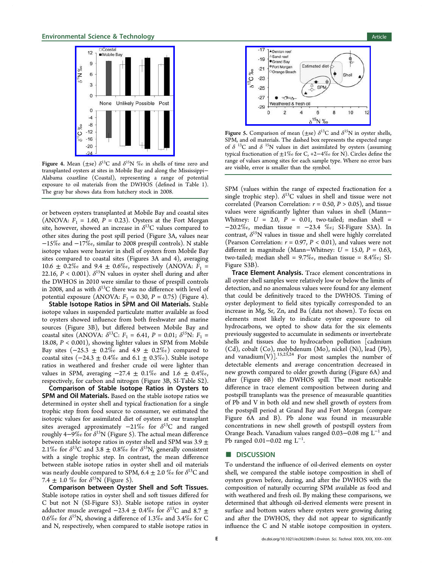<span id="page-4-0"></span>

Figure 4. Mean ( $\pm$ se)  $\delta^{13}$ C and  $\delta^{15}$ N ‰ in shells of time zero and transplanted oysters at sites in Mobile Bay and along the Mississippi− Alabama coastline (Coastal), representing a range of potential exposure to oil materials from the DWHOS (defined in Table [1](#page-2-0)). The gray bar shows data from hatchery stock in 2008.

or between oysters transplanted at Mobile Bay and coastal sites (ANOVA:  $F_1 = 1.60$ ,  $P = 0.23$ ). Oysters at the Fort Morgan site, however, showed an increase in  $\delta^{13}$ C values compared to other sites during the post spill period (Figure [3A](#page-3-0), values near −15‰ and −17‰, similar to 2008 prespill controls). N stable isotope values were heavier in shell of oysters from Mobile Bay sites compared to coastal sites (Figures [3A](#page-3-0) and 4), averaging 10.6  $\pm$  0.2‰ and 9.4  $\pm$  0.6‰, respectively (ANOVA:  $F_1$  = 22.16,  $P < 0.001$ ).  $\delta^{15}N$  values in oyster shell during and after the DWHOS in 2010 were similar to those of prespill controls in 2008, and as with  $\delta^{13}$ C there was no difference with level of potential exposure (ANOVA:  $F_2 = 0.30$ ,  $P = 0.75$ ) (Figure 4).

Stable Isotope Ratios in SPM and Oil Materials. Stable isotope values in suspended particulate matter available as food to oysters showed influence from both freshwater and marine sources (Figure [3](#page-3-0)B), but differed between Mobile Bay and coastal sites (ANOVA:  $\delta^{13}C$ :  $F_1 = 6.41$ ,  $P = 0.01$ ;  $\delta^{15}N$ :  $F_1 =$ 18.08, P < 0.001), showing lighter values in SPM from Mobile Bay sites  $(-25.3 \pm 0.2\%$  and  $4.9 \pm 0.2\%$  compared to coastal sites  $(-24.3 \pm 0.4\% \text{ and } 6.1 \pm 0.3\% \text{).}$  Stable isotope ratios in weathered and fresher crude oil were lighter than values in SPM, averaging  $-27.4 \pm 0.1\%$  and  $1.6 \pm 0.4\%$ , respectively, for carbon and nitrogen (Figure [3](#page-3-0)B, [SI-Table S2\)](#page-6-0).

Comparison of Stable Isotope Ratios in Oysters to SPM and Oil Materials. Based on the stable isotope ratios we determined in oyster shell and typical fractionation for a single trophic step from food source to consumer, we estimated the isotopic values for assimilated diet of oysters at our transplant sites averaged approximately  $-21\%$  for  $\delta^{13}$ C and ranged roughly 4–9‰ for  $\delta^{15}N$  (Figure 5). The actual mean difference between stable isotope ratios in oyster shell and SPM was  $3.9 \pm$ 2.1‰ for  $\delta^{13}C$  and 3.8  $\pm$  0.8‰ for  $\delta^{15}N$ , generally consistent with a single trophic step. In contrast, the mean difference between stable isotope ratios in oyster shell and oil materials was nearly double compared to SPM, 6.4  $\pm$  2.0 ‰ for  $\delta^{13}C$  and 7.4  $\pm$  1.0 % for  $\delta^{15}N$  (Figure 5).

Comparison between Oyster Shell and Soft Tissues. Stable isotope ratios in oyster shell and soft tissues differed for C but not N ([SI-Figure S3\)](#page-6-0). Stable isotope ratios in oyster adductor muscle averaged  $-23.4 \pm 0.4\%$  for  $\delta^{13}$ C and 8.7  $\pm$ 0.6‰ for  $\delta^{15}N$ , showing a difference of 1.3‰ and 3.4‰ for C and N, respectively, when compared to stable isotope ratios in



Figure 5. Comparison of mean ( $\pm$ se)  $\delta^{13}$ C and  $\delta^{15}$ N in oyster shells, SPM, and oil materials. The dashed box represents the expected range of  $\delta$ <sup>13</sup>C and  $\delta$ <sup>15</sup>N values in diet assimilated by oysters (assuming typical fractionation of ±1‰ for C, +2−4‰ for N). Circles define the range of values among sites for each sample type. Where no error bars are visible, error is smaller than the symbol.

SPM (values within the range of expected fractionation for a single trophic step).  $\delta^{13}$ C values in shell and tissue were not correlated (Pearson Correlation:  $r = 0.50$ ,  $P > 0.05$ ), and tissue values were significantly lighter than values in shell (Mann− Whitney:  $U = 2.0$ ,  $P = 0.01$ , two-tailed; median shell = −20.2‰, median tissue = −23.4 ‰; [SI-Figure S3A](#page-6-0)). In contrast,  $\delta^{15}N$  values in tissue and shell were highly correlated (Pearson Correlation:  $r = 0.97$ ,  $P < 0.01$ ), and values were not different in magnitude (Mann–Whitney:  $U = 15.0$ ,  $P = 0.63$ , two-tailed; median shell = 9.7‰, median tissue = 8.4‰; [SI-](#page-6-0)[Figure S3B](#page-6-0)).

Trace Element Analysis. Trace element concentrations in all oyster shell samples were relatively low or below the limits of detection, and no anomalous values were found for any element that could be definitively traced to the DWHOS. Timing of oyster deployment to field sites typically corresponded to an increase in Mg, Sr, Zn, and Ba (data not shown). To focus on elements most likely to indicate oyster exposure to oil hydrocarbons, we opted to show data for the six elements previously suggested to accumulate in sediments or invertebrate shells and tissues due to hydrocarbon pollution [cadmium (Cd), cobalt (Co), molybdenum (Mo), nickel (Ni), lead (Pb), and vanadium $(V)$ ].<sup>[15,23](#page-7-0),[24](#page-7-0)</sup> For most samples the number of detectable elements and average concentration decreased in new growth compared to older growth during (Figure [6A](#page-5-0)) and after (Figure [6](#page-5-0)B) the DWHOS spill. The most noticeable difference in trace element composition between during and postspill transplants was the presence of measurable quantities of Pb and V in both old and new shell growth of oysters from the postspill period at Grand Bay and Fort Morgan (compare Figure [6A](#page-5-0) and B). Pb alone was found in measurable concentrations in new shell growth of postspill oysters from Orange Beach. Vanadium values ranged 0.03–0.08 mg  $L^{-1}$  and Pb ranged 0.01–0.02 mg L<sup>-1</sup>. .

#### ■ DISCUSSION

To understand the influence of oil-derived elements on oyster shell, we compared the stable isotope composition in shell of oysters grown before, during, and after the DWHOS with the composition of naturally occurring SPM available as food and with weathered and fresh oil. By making these comparisons, we determined that although oil-derived elements were present in surface and bottom waters where oysters were growing during and after the DWHOS, they did not appear to significantly influence the C and N stable isotope composition in oysters.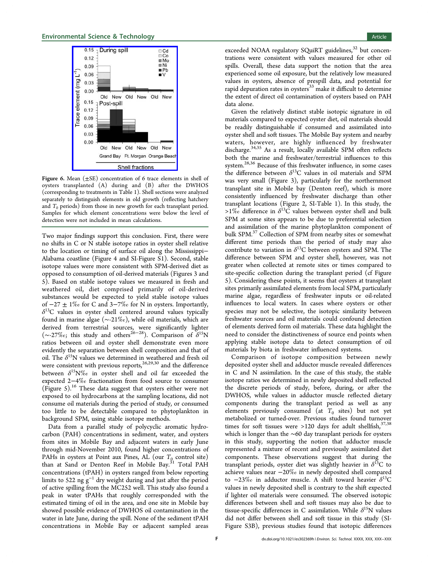<span id="page-5-0"></span>

Figure 6. Mean  $(\pm \text{SE})$  concentration of 6 trace elements in shell of oysters transplanted (A) during and (B) after the DWHOS (corresponding to treatments in Table [1](#page-2-0)). Shell sections were analyzed separately to distinguish elements in old growth (reflecting hatchery and  $T_0$  periods) from those in new growth for each transplant period. Samples for which element concentrations were below the level of detection were not included in mean calculations.

Two major findings support this conclusion. First, there were no shifts in C or N stable isotope ratios in oyster shell relative to the location or timing of surface oil along the Mississippi− Alabama coastline (Figure [4](#page-4-0) and [SI-Figure S1\)](#page-6-0). Second, stable isotope values were more consistent with SPM-derived diet as opposed to consumption of oil-derived materials (Figures [3](#page-3-0) and [5](#page-4-0)). Based on stable isotope values we measured in fresh and weathered oil, diet comprised primarily of oil-derived substances would be expected to yield stable isotope values of  $-27 \pm 1\%$  for C and 3 $-7\%$  for N in oysters. Importantly,  $\delta^{13}$ C values in oyster shell centered around values typically found in marine algae (∼-21‰), while oil materials, which are derived from terrestrial sources, were significantly lighter ( $\sim$ -27‰; this study and others<sup>[26](#page-7-0)–[28](#page-7-0)</sup>). Comparison of  $\delta^{15}N$ ratios between oil and oyster shell demonstrate even more evidently the separation between shell composition and that of oil. The  $\delta^{15}N$  values we determined in weathered and fresh oil were consistent with previous reports, $^{26,29,30}$  $^{26,29,30}$  $^{26,29,30}$  $^{26,29,30}$  $^{26,29,30}$  and the difference between  $\delta^{15}N\%$  in oyster shell and oil far exceeded the expected 2−4‰ fractionation from food source to consumer (Figure [5](#page-4-0)).[16](#page-7-0) These data suggest that oysters either were not exposed to oil hydrocarbons at the sampling locations, did not consume oil materials during the period of study, or consumed too little to be detectable compared to phytoplankton in background SPM, using stable isotope methods.

Data from a parallel study of polycyclic aromatic hydrocarbon (PAH) concentrations in sediment, water, and oysters from sites in Mobile Bay and adjacent waters in early June through mid-November 2010, found higher concentrations of PAHs in oysters at Point aux Pines, AL (our  $T_{\textrm{Q}}$  control site) than at Sand or Denton Reef in Mobile Bay.<sup>[31](#page-7-0)</sup> Total PAH concentrations (tPAH) in oysters ranged from below reporting limits to 522 ng  $g^{-1}$  dry weight during and just after the period of active spilling from the MC252 well. This study also found a peak in water tPAHs that roughly corresponded with the estimated timing of oil in the area, and one site in Mobile bay showed possible evidence of DWHOS oil contamination in the water in late June, during the spill. None of the sediment tPAH concentrations in Mobile Bay or adjacent sampled areas

exceeded NOAA regulatory SQuiRT guidelines,<sup>[32](#page-7-0)</sup> but concentrations were consistent with values measured for other oil spills. Overall, these data support the notion that the area experienced some oil exposure, but the relatively low measured values in oysters, absence of prespill data, and potential for rapid depuration rates in oysters $33 \text{ make it difficult to determine}$  $33 \text{ make it difficult to determine}$ the extent of direct oil contamination of oysters based on PAH data alone.

Given the relatively distinct stable isotopic signature in oil materials compared to expected oyster diet, oil materials should be readily distinguishable if consumed and assimilated into oyster shell and soft tissues. The Mobile Bay system and nearby waters, however, are highly influenced by freshwater discharge.<sup>[34,35](#page-7-0)</sup> As a result, locally available SPM often reflects both the marine and freshwater/terrestrial influences to this system.[28](#page-7-0),[36](#page-7-0) Because of this freshwater influence, in some cases the difference between  $\delta^{13}$ C values in oil materials and SPM was very small (Figure [3\)](#page-3-0), particularly for the northernmost transplant site in Mobile bay (Denton reef), which is more consistently influenced by freshwater discharge than other transplant locations (Figure [2](#page-1-0), [SI-Table 1\)](#page-6-0). In this study, the >1% difference in  $\delta^{13}$ C values between oyster shell and bulk SPM at some sites appears to be due to preferential selection and assimilation of the marine phytoplankton component of bulk SPM.<sup>[37](#page-7-0)</sup> Collection of SPM from nearby sites or somewhat different time periods than the period of study may also contribute to variation in  $\delta^{13}$ C between oysters and SPM. The difference between SPM and oyster shell, however, was not greater when collected at remote sites or times compared to site-specific collection during the transplant period (cf Figure [5](#page-4-0)). Considering these points, it seems that oysters at transplant sites primarily assimilated elements from local SPM, particularly marine algae, regardless of freshwater inputs or oil-related influences to local waters. In cases where oysters or other species may not be selective, the isotopic similarity between freshwater sources and oil materials could confound detection of elements derived form oil materials. These data highlight the need to consider the distinctiveness of source end points when applying stable isotope data to detect consumption of oil materials by biota in freshwater influenced systems.

Comparison of isotope composition between newly deposited oyster shell and adductor muscle revealed differences in C and N assimilation. In the case of this study, the stable isotope ratios we determined in newly deposited shell reflected the discrete periods of study, before, during, or after the DWHOS, while values in adductor muscle reflected dietary components during the transplant period as well as any elements previously consumed (at  $T_0$  sites) but not yet metabolized or turned-over. Previous studies found turnover times for soft tissues were >120 days for adult shellfish,  $37,38$  $37,38$ which is longer than the ∼60 day transplant periods for oysters in this study, supporting the notion that adductor muscle represented a mixture of recent and previously assimilated diet components. These observations suggest that during the transplant periods, oyster diet was slightly heavier in  $\delta^{13}C$  to achieve values near −20‰ in newly deposited shell compared to  $-23\%$  in adductor muscle. A shift toward heavier  $\delta^{13}$ C values in newly deposited shell is contrary to the shift expected if lighter oil materials were consumed. The observed isotopic differences between shell and soft tissues may also be due to tissue-specific differences in C assimilation. While  $\delta^{15}N$  values did not differ between shell and soft tissue in this study ([SI-](#page-6-0)[Figure S3B](#page-6-0)), previous studies found that isotopic differences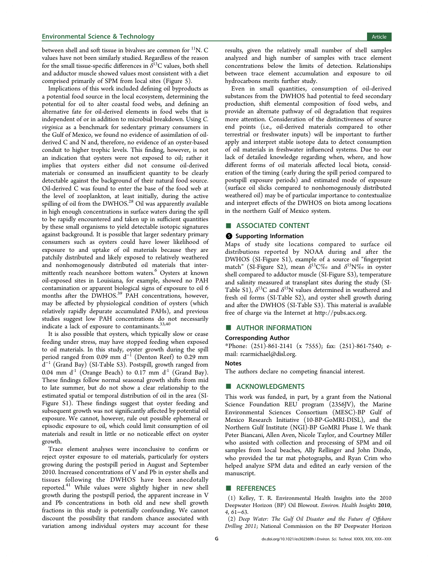<span id="page-6-0"></span>between shell and soft tissue in bivalves are common for  ${}^{11}N$ . C values have not been similarly studied. Regardless of the reason for the small tissue-specific differences in  $\delta^{13}$ C values, both shell and adductor muscle showed values most consistent with a diet comprised primarily of SPM from local sites (Figure [5](#page-4-0)).

Implications of this work included defining oil byproducts as a potential food source in the local ecosystem, determining the potential for oil to alter coastal food webs, and defining an alternative fate for oil-derived elements in food webs that is independent of or in addition to microbial breakdown. Using C. virginica as a benchmark for sedentary primary consumers in the Gulf of Mexico, we found no evidence of assimilation of oilderived C and N and, therefore, no evidence of an oyster-based conduit to higher trophic levels. This finding, however, is not an indication that oysters were not exposed to oil; rather it implies that oysters either did not consume oil-derived materials or consumed an insufficient quantity to be clearly detectable against the background of their natural food source. Oil-derived C was found to enter the base of the food web at the level of zooplankton, at least initially, during the active spilling of oil from the DWHOS.<sup>[28](#page-7-0)</sup> Oil was apparently available in high enough concentrations in surface waters during the spill to be rapidly encountered and taken up in sufficient quantities by these small organisms to yield detectable isotopic signatures against background. It is possible that larger sedentary primary consumers such as oysters could have lower likelihood of exposure to and uptake of oil materials because they are patchily distributed and likely exposed to relatively weathered and nonhomogenously distributed oil materials that inter-mittently reach nearshore bottom waters.<sup>[6](#page-7-0)</sup> Oysters at known oil-exposed sites in Louisiana, for example, showed no PAH contamination or apparent biological signs of exposure to oil 6 months after the DWHOS.<sup>39</sup> PAH concentrations, however, may be affected by physiological condition of oysters (which relatively rapidly depurate accumulated PAHs), and previous studies suggest low PAH concentrations do not necessarily indicate a lack of exposure to contaminants.<sup>[33](#page-7-0),[40](#page-8-0)</sup>

It is also possible that oysters, which typically slow or cease feeding under stress, may have stopped feeding when exposed to oil materials. In this study, oyster growth during the spill period ranged from 0.09 mm d<sup>-1</sup> (Denton Reef) to 0.29 mm  $\overline{d}^{-1}$  (Grand Bay) (SI-Table S3). Postspill, growth ranged from 0.04 mm  $d<sup>-1</sup>$  (Orange Beach) to 0.17 mm  $d<sup>-1</sup>$  (Grand Bay). These findings follow normal seasonal growth shifts from mid to late summer, but do not show a clear relationship to the estimated spatial or temporal distribution of oil in the area (SI-Figure S1). These findings suggest that oyster feeding and subsequent growth was not significantly affected by potential oil exposure. We cannot, however, rule out possible ephemeral or episodic exposure to oil, which could limit consumption of oil materials and result in little or no noticeable effect on oyster growth.

Trace element analyses were inconclusive to confirm or reject oyster exposure to oil materials, particularly for oysters growing during the postspill period in August and September 2010. Increased concentrations of V and Pb in oyster shells and tissues following the DWHOS have been anecdotally reported.<sup>[41](#page-8-0)</sup> While values were slightly higher in new shell growth during the postspill period, the apparent increase in V and Pb concentrations in both old and new shell growth fractions in this study is potentially confounding. We cannot discount the possibility that random chance associated with variation among individual oysters may account for these

results, given the relatively small number of shell samples analyzed and high number of samples with trace element concentrations below the limits of detection. Relationships between trace element accumulation and exposure to oil hydrocarbons merits further study.

Even in small quantities, consumption of oil-derived substances from the DWHOS had potential to feed secondary production, shift elemental composition of food webs, and provide an alternate pathway of oil degradation that requires more attention. Consideration of the distinctiveness of source end points (i.e., oil-derived materials compared to other terrestrial or freshwater inputs) will be important to further apply and interpret stable isotope data to detect consumption of oil materials in freshwater influenced systems. Due to our lack of detailed knowledge regarding when, where, and how different forms of oil materials affected local biota, consideration of the timing (early during the spill period compared to postspill exposure periods) and estimated mode of exposure (surface oil slicks compared to nonhomogenously distributed weathered oil) may be of particular importance to contextualize and interpret effects of the DWHOS on biota among locations in the northern Gulf of Mexico system.

# ■ ASSOCIATED CONTENT

#### **6** Supporting Information

Maps of study site locations compared to surface oil distributions reported by NOAA during and after the DWHOS (SI-Figure S1), example of a source oil "fingerprint match" (SI-Figure S2), mean  $\delta^{13}C\%$  and  $\delta^{15}N\%$  in oyster shell compared to adductor muscle (SI-Figure S3), temperature and salinity measured at transplant sites during the study (SI-Table S1),  $\delta^{13}C$  and  $\delta^{15}N$  values determined in weathered and fresh oil forms (SI-Table S2), and oyster shell growth during and after the DWHOS (SI-Table S3). This material is available free of charge via the Internet at [http://pubs.acs.org.](http://pubs.acs.org)

#### ■ AUTHOR INFORMATION

#### Corresponding Author

\*Phone: (251)-861-2141 (x 7555); fax: (251)-861-7540; email: [rcarmichael@disl.org.](mailto:rcarmichael@disl.org)

#### Notes

The authors declare no competing financial interest.

#### ■ ACKNOWLEDGMENTS

This work was funded, in part, by a grant from the National Science Foundation REU program (2356JV), the Marine Environmental Sciences Consortium (MESC)-BP Gulf of Mexico Research Initiative (10-BP-GoMRI-DISL), and the Northern Gulf Institute (NGI)-BP GoMRI Phase I. We thank Peter Biancani, Allen Aven, Nicole Taylor, and Courtney Miller who assisted with collection and processing of SPM and oil samples from local beaches, Ally Rellinger and John Dindo, who provided the tar mat photographs, and Ryan Crim who helped analyze SPM data and edited an early version of the manuscript.

#### ■ REFERENCES

(1) Kelley, T. R. Environmental Health Insights into the 2010 Deepwater Horizon (BP) Oil Blowout. Environ. Health Insights 2010, 4, 61−63.

(2) Deep Water: The Gulf Oil Disaster and the Future of Offshore Drilling 2011; National Commission on the BP Deepwater Horizon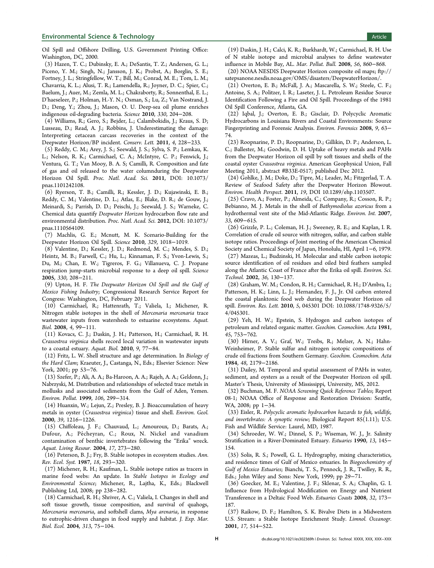#### <span id="page-7-0"></span>**Environmental Science & Technology Article** Article 30 and 30 and 30 and 30 and 30 and 30 and 30 and 30 and 30 and 30 and 30 and 30 and 30 and 30 and 30 and 30 and 30 and 30 and 30 and 30 and 30 and 30 and 30 and 30 and 3

Oil Spill and Offshore Drilling, U.S. Government Printing Office: Washington, DC, 2000.

(3) Hazen, T. C.; Dubinsky, E. A.; DeSantis, T. Z.; Andersen, G. L.; Piceno, Y. M.; Singh, N.; Jansson, J. K.; Probst, A.; Borglin, S. E.; Fortney, J. L.; Stringfellow, W. T.; Bill, M.; Conrad, M. E.; Tom, L. M.; Chavarria, K. L.; Alusi, T. R.; Lamendella, R.; Joyner, D. C.; Spier, C.; Baelum, J.; Auer, M.; Zemla, M. L.; Chakraborty, R.; Sonnenthal, E. L.; D'haeseleer, P.; Holman, H.-Y. N.; Osman, S.; Lu, Z.; Van Nostrand, J. D.; Deng, Y.; Zhou, J.; Mason, O. U. Deep-sea oil plume enriches indigenous oil-degrading bacteria. Science 2010, 330, 204−208.

(4) Williams, R.; Gero, S.; Bejder, L.; Calambokidis, J.; Kraus, S. D; Lusseau, D.; Read, A. J.; Robbins, J. Underestimating the damage: Interpreting cetacean carcass recoveries in the context of the Deepwater Horizon/BP incident. Conserv. Lett. 2011, 4, 228−233.

(5) Reddy, C. M.; Arey, J. S.; Seewald, J. S.; Sylva, S. P.; Lemkau, K. L.; Nelson, R. K.; Carmichael, C. A.; McIntyre, C. P.; Fenwick, J.; Ventura, G. T.; Van Mooy, B. A. S; Camilli, R. Composition and fate of gas and oil released to the water columnduring the Deepwater Horizon Oil Spill. Proc. Natl. Acad. Sci. 2011, DOI: 10.1073/ pnas.1101242108.

(6) Ryerson, T. B.; Camilli, R.; Kessler, J. D.; Kujawinski, E. B.; Reddy, C. M.; Valentine, D. L.; Atlas, E.; Blake, D. R.; de Gouw, J.; Meinardi, S.; Parrish, D. D.; Peischi, J.; Seewald, J. S.; Warneke, C. Chemical data quantify Deepwater Horizon hydrocarbon flow rate and environmental distribution. Proc. Natl. Acad. Sci. 2012, DOI: 10.1073/ pnas.1110564109.

(7) Machlis, G. E.; Mcnutt, M. K. Scenario-Building for the Deepwater Horizon Oil Spill. Science 2010, 329, 1018−1019.

(8) Valentine, D.; Kessler, J. D.; Redmond, M. C.; Mendes, S. D.; Heintz, M. B.; Farwell, C.; Hu, L.; Kinnaman, F. S.; Yvon-Lewis, S.; Du, M.; Chan, E. W.; Tigreros, F. G.; Villanueva, C. J. Propane respiration jump-starts microbial response to a deep oil spill. Science 2005, 330, 208−211.

(9) Upton, H. F. The Deepwater Horizon Oil Spill and the Gulf of Mexico Fishing Industry; Congressional Research Service Report for Congress: Washington, DC, February 2011.

(10) Carmichael, R.; Hattenrath, T.; Valiela, I.; Michener, R. Nitrogen stable isotopes in the shell of Mercenaria mercenaria trace wastewater inputs from watersheds to estuarine ecosystems. Aquat. Biol. 2008, 4, 99−111.

(11) Kovacs, C. J.; Daskin, J. H.; Patterson, H.; Carmichael, R. H. Crassostrea virginica shells record local variation in wastewater inputs to a coastal estuary. Aquat. Biol. 2010, 9, 77−84.

(12) Fritz, L. W. Shell structure and age determination. In Biology of the Hard Clam; Kraeuter, J., Castanga, N., Eds.; Elsevier Science: New York, 2001; pp 53−76.

(13) Szefer, P.; Ali, A. A.; Ba-Haroon, A. A.; Rajeh, A. A.; Geldonn, J.; Nabrzyski, M. Distribution and relationships of selected trace metals in mollusks and associated sediments from the Gulf of Aden, Yemen. Environ. Pollut. 1999, 106, 299−314.

(14) Huanxin, W.; Lejun, Z.; Presley, B. J. Bioaccumulation of heavy metals in oyster (Crassostrea virginica) tissue and shell. Environ. Geol. 2000, 39, 1216−1226.

(15) Chiffoleau, J. F.; Chauvaud, L.; Amouroux, D.; Barats, A.; Dufour, A.; Pécheyran, C.; Roux, N. Nickel and vanadium contamination of benthic invertebrates following the "Erika" wreck. Aquat. Living Resour. 2004, 17, 273−280.

(16) Peterson, B. J.; Fry, B. Stable isotopes in ecosystem studies. Ann. Rev. Ecol. Syst. 1987, 18, 293−320.

(17) Michener, R. H.; Kaufman, L. Stable isotope ratios as tracers in marine food webs: An update. In Stable Isotopes in Ecology and Environmental Science; Michener, R., Lajtha, K., Eds.; Blackwell Publishing Ltd, 2008; pp 238−282.

(18) Carmichael, R. H.; Shriver, A. C.; Valiela, I. Changes in shell and soft tissue growth, tissue composition, and survival of quahogs, Mercenaria mercenaria, and softshell clams, Mya arenaria, in response to eutrophic-driven changes in food supply and habitat. J. Exp. Mar. Biol. Ecol. 2004, 313, 75−104.

(19) Daskin, J. H.; Calci, K. R.; Burkhardt, W.; Carmichael, R. H. Use of N stable isotope and microbial analyses to define wastewater influence in Mobile Bay, AL. Mar. Pollut. Bull. 2008, 56, 860−868.

(20) NOAA NESDIS Deepwater Horizon composite oil maps; [ftp://](ftp://satepsanone.nesdis.noaa.gov/OMS/disasters/DeepwaterHorizon/) [satepsanone.nesdis.noaa.gov/OMS/disasters/DeepwaterHorizon/.](ftp://satepsanone.nesdis.noaa.gov/OMS/disasters/DeepwaterHorizon/)

(21) Overton, E. B.; McFall, J. A.; Mascarella, S. W.; Steele, C. F.; Antoine, S. A.; Politzer, I. R.; Laseter, J. L. Petroleum Residue Source Identification Following a Fire and Oil Spill. Proceedings of the 1981 Oil Spill Conference, Atlanta, GA.

(22) Iqbal, J.; Overton, E. B.; Gisclair, D. Polycyclic Aromatic Hydrocarbons in Louisiana Rivers and Coastal Environments: Source Fingerprinting and Forensic Analysis. Environ. Forensics 2008, 9, 63− 74.

(23) Roopnarine, P. D.; Roopnarine, D.; Gillikin, D. P.; Anderson, L. C.; Ballester, M.; Goodwin, D. H. Uptake of heavy metals and PAHs from the Deepwater Horizon oil spill by soft tissues and shells of the coastal oyster Crassostrea virginica. American Geophysical Union, Fall Meeting 2011, abstract #B33E-0517; published Dec 2012.

(24) Gohlke, J. M.; Doke, D.; Tipre, M.; Leader, M.; Fitzgerlad, T. A. Review of Seafood Safety after the Deepwater Horizon Blowout. Environ. Health Perspect. 2011, 19, DOI 10.1289/ehp.1103507.

(25) Cravo, A.; Foster, P.; Almeida, C.; Company, R.; Cosson, R. P.; Bebianno, M. J. Metals in the shell of Bathymodiolus azoricus from a hydrothermal vent site of the Mid-Atlantic Ridge. Environ. Int. 2007, 33, 609−615.

(26) Grizzle, P. L.; Coleman, H. J.; Sweeney, R. E.; and Kaplan, I. R. Correlation of crude oil source with nitrogen, sulfur, and carbon stable isotope ratios. Proceedings of Joint meeting of the American Chemical Society and Chemical Society of Japan, Honolulu, HI, April 1−6, 1979.

(27) Mazeas, L.; Budzinski, H. Molecular and stable carbon isotopic source identification of oil residues and oiled bird feathers sampled along the Atlantic Coast of France after the Erika oil spill. Environ. Sci. Technol. 2002, 36, 130−137.

(28) Graham, W. M.; Condon, R. H.; Carmichael, R. H.; D'Ambra, I.; Patterson, H. K.; Linn, L. J.; Hernandez, F. J., Jr. Oil carbon entered the coastal planktonic food web during the Deepwater Horizon oil spill. Environ. Res. Lett. 2010, 5, 045301 DOI: 10.1088/1748-9326/5/ 4/045301.

(29) Yeh, H. W.; Epstein, S. Hydrogen and carbon isotopes of petroleum and related organic matter. Geochim. Cosmochim. Acta 1981, 45, 753−762.

(30) Hirner, A. V.; Graf, W.; Treibs, R.; Melzer, A. N.; Hahn-Weinheimer, P. Stable sulfur and nitrogen isotopic compositions of crude oil fractions from Southern Germany. Geochim. Cosmochim. Acta 1984, 48, 2179−2186.

(31) Dailey, M. Temporal and spatial assessment of PAHs in water, sediment, and oysters as a result of the Deepwater Horizon oil spill. Master's Thesis, University of Mississippi, University, MS, 2012.

(32) Buchman, M. F. NOAA Screening Quick Reference Tables; Report 08-1; NOAA Office of Response and Restoration Division: Seattle, WA, 2008; pp 1–34.

(33) Eisler, R. Polycyclic aromatic hydrocarbon hazards to fish, wildlife, and invertebrates: A synoptic review; Biological Report 85(1.11); U.S. Fish and Wildlife Service: Laurel, MD, 1987.

(34) Schroeder, W. W.; Dinnel, S. P.; Wiseman, W. J., Jr. Salinity Stratification in a River-Dominated Estuary. Estuaries 1990, 13, 145− 154.

(35) Solis, R. S.; Powell, G. L. Hydrography, mixing characteristics, and residence times of Gulf of Mexico estuaries. In Biogeochemistry of Gulf of Mexico Estuaries; Bianchi, T. S., Pennock, J. R., Twilley, R. R., Eds.; John Wiley and Sons: New York, 1999; pp 29−71.

(36) Goecker, M. E.; Valentine, J. F.; Sklenar, S. A.; Chaplin, G. I. Influence from Hydrological Modification on Energy and Nutrient Transference in a Deltaic Food Web. Estuaries Coasts 2008, 32, 173− 187.

(37) Raikow, D. F.; Hamilton, S. K. Bivalve Diets in a Midwestern U.S. Stream: a Stable Isotope Enrichment Study. Limnol. Oceanogr. 2001, 17, 514−522.